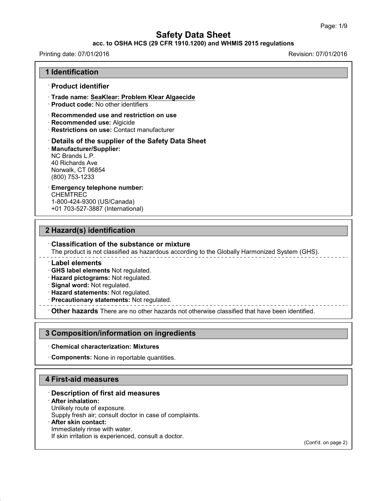### **acc. to OSHA HCS (29 CFR 1910.1200) and WHMIS 2015 regulations**

#### Printing date: 07/01/2016 Revision: 07/01/2016

#### **1 Identification**

#### · **Product identifier**

· **Trade name: SeaKlear: Problem Klear Algaecide**

· **Product code:** No other identifiers

· **Recommended use and restriction on use**

- · **Recommended use:** Algicide
- · **Restrictions on use:** Contact manufacturer

· **Details of the supplier of the Safety Data Sheet** · **Manufacturer/Supplier:** NC Brands L.P. 40 Richards Ave Norwalk, CT 06854 (800) 753-1233

## · **Emergency telephone number: CHEMTREC**

1-800-424-9300 (US/Canada) +01 703-527-3887 (International)

## **2 Hazard(s) identification**

#### · **Classification of the substance or mixture**

The product is not classified as hazardous according to the Globally Harmonized System (GHS).

· **Label elements**

· **GHS label elements** Not regulated.

· **Hazard pictograms:** Not regulated.

· **Signal word:** Not regulated.

· **Hazard statements:** Not regulated.

· **Precautionary statements:** Not regulated.

· **Other hazards** There are no other hazards nototherwise classified that have been identified.

### **3 Composition/information on ingredients**

#### · **Chemical characterization: Mixtures**

· **Components:** None in reportable quantities.

### **4 First-aid measures**

### · **Description of first aid measures**

#### · **After inhalation:**

43.0

Unlikely route of exposure.

Supply fresh air; consult doctor in case of complaints.

#### · **After skin contact:**

Immediately rinse with water. If skin irritation is experienced, consult a doctor.

(Cont'd. on page 2)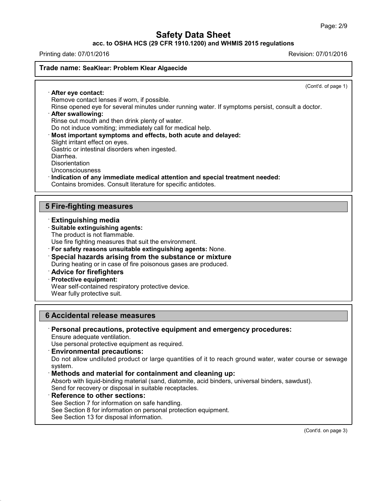**acc. to OSHA HCS (29 CFR 1910.1200) and WHMIS 2015 regulations**

Printing date: 07/01/2016 Revision: 07/01/2016

#### **Trade name: SeaKlear: Problem Klear Algaecide**

(Cont'd. of page 1)

· **After eye contact:** Remove contact lenses if worn, if possible.

Rinse opened eye for several minutes under running water. If symptoms persist, consult a doctor.

· **After swallowing:**

Rinse out mouth and then drink plenty of water.

Do not induce vomiting; immediately call for medical help.

· **Most important symptoms and effects, both acute and delayed:**

Slight irritant effect on eyes.

Gastric or intestinal disorders when ingested.

Diarrhea.

**Disorientation** 

Unconsciousness

· **Indication of any immediate medical attention and special treatment needed:**

Contains bromides. Consult literature for specific antidotes.

## **5 Fire-fighting measures**

· **Extinguishing media**

· **Suitable extinguishing agents:**

The product is not flammable.

Use fire fighting measures that suit the environment.

· **For safety reasons unsuitable extinguishing agents:** None.

· **Special hazards arising from the substance or mixture**

During heating or in case of fire poisonous gases are produced.

· **Advice for firefighters**

· **Protective equipment:**

Wear self-contained respiratory protective device.

Wear fully protective suit.

### **6 Accidental release measures**

· **Personal precautions, protective equipment and emergency procedures:**

Ensure adequate ventilation.

Use personal protective equipment as required.

· **Environmental precautions:**

Do not allow undiluted product or large quantities of it to reach ground water, water course or sewage system.

#### · **Methods and material for containment and cleaning up:**

Absorb with liquid-binding material (sand, diatomite, acid binders, universal binders, sawdust). Send for recovery or disposal in suitable receptacles.

### · **Reference to other sections:**

43.0

See Section 7 for information on safe handling.

See Section 8 for information on personal protection equipment.

See Section 13 for disposal information.

(Cont'd. on page 3)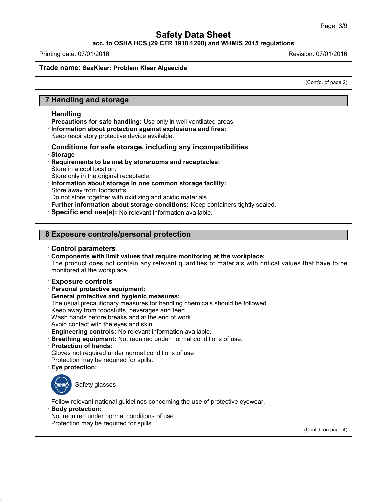**acc. to OSHA HCS (29 CFR 1910.1200) and WHMIS 2015 regulations**

Printing date: 07/01/2016 Revision: 07/01/2016

#### **Trade name: SeaKlear: Problem Klear Algaecide**

(Cont'd. of page 2)

## **7 Handling and storage**

#### · **Handling**

· **Precautions for safe handling:** Use only in well ventilated areas.

· **Information about protection against explosions and fires:**

Keep respiratory protective device available.

#### · **Conditions for safe storage, including any incompatibilities** · **Storage**

- · **Requirements to be met by storerooms and receptacles:** Store in a cool location.
- Store only in the original receptacle.
- · **Information about storage in one common storage facility:** Store away from foodstuffs.

Do not store together with oxidizing and acidic materials.

- · **Further information about storage conditions:** Keep containers tightly sealed.
- · **Specific end use(s):** No relevant information available.

## **8 Exposure controls/personal protection**

#### · **Control parameters**

· **Components with limit values that require monitoring at the workplace:** The product does not contain any relevant quantities of materials with critical values that have to be monitored at the workplace.

#### · **Exposure controls**

- · **Personal protective equipment:**
- · **General protective and hygienic measures:**
- The usual precautionary measures for handling chemicals should be followed.

Keep away from foodstuffs, beverages and feed.

Wash hands before breaks and at the end of work.

- Avoid contact with the eyes and skin.
- · **Engineering controls:** No relevant information available.
- · **Breathing equipment:** Not required under normal conditions of use.
- · **Protection of hands:**
- Gloves not required under normal conditions of use.
- Protection may be required for spills.
- · **Eye protection:**



Follow relevant national guidelines concerning the use of protective eyewear.

· **Body protection:**

43.0

Not required under normal conditions of use. Protection may be required for spills.

(Cont'd. on page 4)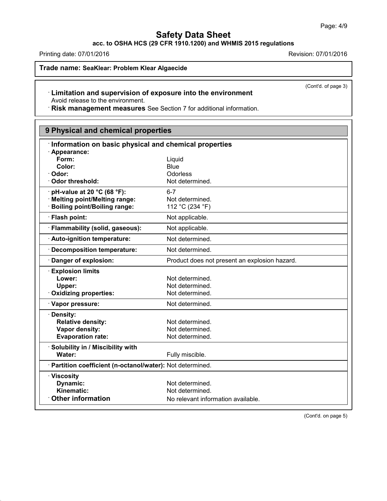**acc. to OSHA HCS (29 CFR 1910.1200) and WHMIS 2015 regulations**

Printing date: 07/01/2016 **Revision: 07/01/2016** Revision: 07/01/2016

43.0

**Trade name: SeaKlear: Problem Klear Algaecide**

(Cont'd. of page 3)

## · **Limitation and supervision of exposure into the environment** Avoid release to the environment.

· **Risk management measures** See Section 7 for additional information.

| 9 Physical and chemical properties                         |                                               |  |
|------------------------------------------------------------|-----------------------------------------------|--|
| Information on basic physical and chemical properties      |                                               |  |
| · Appearance:                                              |                                               |  |
| Form:                                                      | Liquid                                        |  |
| Color:                                                     | <b>Blue</b>                                   |  |
| · Odor:                                                    | Odorless                                      |  |
| Odor threshold:                                            | Not determined.                               |  |
| $\cdot$ pH-value at 20 °C (68 °F):                         | $6 - 7$                                       |  |
| · Melting point/Melting range:                             | Not determined.                               |  |
| <b>Boiling point/Boiling range:</b>                        | 112 °C (234 °F)                               |  |
| · Flash point:                                             | Not applicable.                               |  |
| · Flammability (solid, gaseous):                           | Not applicable.                               |  |
| · Auto-ignition temperature:                               | Not determined.                               |  |
| <b>Decomposition temperature:</b>                          | Not determined.                               |  |
| · Danger of explosion:                                     | Product does not present an explosion hazard. |  |
| <b>Explosion limits</b>                                    |                                               |  |
| Lower:                                                     | Not determined.                               |  |
| Upper:                                                     | Not determined.                               |  |
| · Oxidizing properties:                                    | Not determined.                               |  |
| · Vapor pressure:                                          | Not determined.                               |  |
| · Density:                                                 |                                               |  |
| <b>Relative density:</b>                                   | Not determined.                               |  |
| Vapor density:                                             | Not determined.                               |  |
| <b>Evaporation rate:</b>                                   | Not determined.                               |  |
| · Solubility in / Miscibility with                         |                                               |  |
| Water:                                                     | Fully miscible.                               |  |
| · Partition coefficient (n-octanol/water): Not determined. |                                               |  |
| · Viscosity                                                |                                               |  |
| <b>Dynamic:</b>                                            | Not determined.                               |  |
| Kinematic:                                                 | Not determined.                               |  |
| <b>Other information</b>                                   | No relevant information available.            |  |

(Cont'd. on page 5)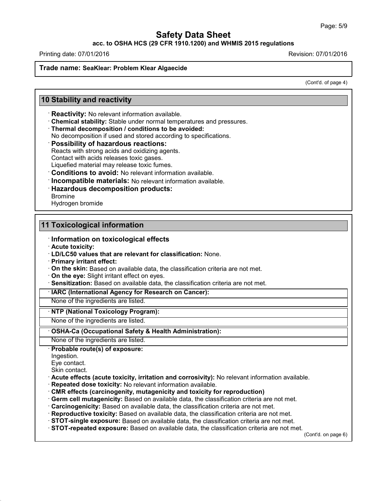### **acc. to OSHA HCS (29 CFR 1910.1200) and WHMIS 2015 regulations**

Printing date: 07/01/2016 Revision: 07/01/2016

#### **Trade name: SeaKlear: Problem Klear Algaecide**

(Cont'd. of page 4)

## **10 Stability and reactivity**

· **Reactivity:** No relevant information available.

· **Chemical stability:** Stable under normal temperatures and pressures.

· **Thermal decomposition / conditions to be avoided:**

No decomposition if used and stored according to specifications.

· **Possibility of hazardous reactions:**

Reacts with strong acids and oxidizing agents.

Contact with acids releases toxic gases.

Liquefied material may release toxic fumes.

· **Conditions to avoid:** No relevant information available.

· **Incompatible materials:** No relevant information available.

· **Hazardous decomposition products:**

Bromine

Hydrogen bromide

## **11 Toxicological information**

- · **Information on toxicological effects**
- · **Acute toxicity:**

· **LD/LC50 values that are relevant for classification:** None.

· **Primary irritant effect:**

· **On the skin:** Based on available data, the classification criteria are not met.

· **On the eye:** Slight irritant effect on eyes.

· **Sensitization:** Based on available data, the classification criteria are not met.

· **IARC (International Agency for Research on Cancer):**

None of the ingredients are listed.

## · **NTP (National Toxicology Program):**

None of the ingredients are listed.

· **OSHA-Ca (Occupational Safety & Health Administration):**

None of the ingredients are listed.

#### · **Probable route(s) of exposure:**

Ingestion.

43.0

Eye contact.

Skin contact.

- · **Acute effects (acute toxicity, irritation and corrosivity):** No relevant information available.
- · **Repeated dose toxicity:** No relevant information available.
- · **CMR effects (carcinogenity, mutagenicity and toxicity for reproduction)**
- · **Germ cell mutagenicity:** Based on available data, the classification criteria are not met.
- · **Carcinogenicity:** Based on available data, the classification criteria are not met.
- · **Reproductive toxicity:** Based on available data, the classification criteria are not met.
- · **STOT-single exposure:** Based on available data, the classification criteria are not met.

· **STOT-repeated exposure:** Based on available data, the classification criteria are not met.

(Cont'd. on page 6)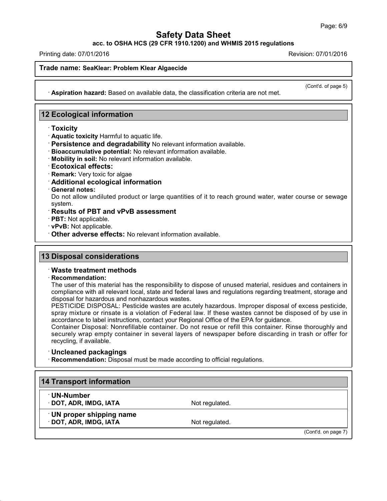**acc. to OSHA HCS (29 CFR 1910.1200) and WHMIS 2015 regulations**

Printing date: 07/01/2016 Revision: 07/01/2016

#### **Trade name: SeaKlear: Problem Klear Algaecide**

(Cont'd. of page 5)

· **Aspiration hazard:** Based on available data, the classification criteria are not met.

## **12 Ecological information**

- · **Toxicity**
- · **Aquatic toxicity** Harmful to aquatic life.
- · **Persistence and degradability** No relevant information available.
- · **Bioaccumulative potential:** No relevant information available.
- · **Mobility in soil:** No relevant information available.
- · **Ecotoxical effects:**
- · **Remark:** Very toxic for algae
- · **Additional ecological information**
- · **General notes:**

Do not allow undiluted product or large quantities of it to reach ground water, water course or sewage system.

- · **Results of PBT and vPvB assessment**
- · **PBT:** Not applicable.
- · **vPvB:** Not applicable.
- · **Other adverse effects:** No relevant information available.

### **13 Disposal considerations**

### · **Waste treatment methods**

#### · **Recommendation:**

The user of this material has the responsibility to dispose of unused material, residues and containers in compliance with all relevant local, state and federal laws and regulations regarding treatment, storage and disposal for hazardous and nonhazardous wastes.

PESTICIDE DISPOSAL: Pesticide wastes are acutely hazardous. Improper disposal of excess pesticide, spray mixture or rinsate is a violation of Federal law. If these wastes cannot be disposed of by use in accordance to label instructions, contact your Regional Office of the EPA for guidance.

Container Disposal: Nonrefillable container. Do not resue or refill this container. Rinse thoroughly and securely wrap empty container in several layers of newspaper before discarding in trash or offer for recycling, if available.

#### · **Uncleaned packagings**

43.0

· **Recommendation:** Disposal must be made according to official regulations.

| <b>14 Transport information</b>                   |                |                     |
|---------------------------------------------------|----------------|---------------------|
| <b>· UN-Number</b><br>DOT, ADR, IMDG, IATA        | Not regulated. |                     |
| UN proper shipping name<br>· DOT, ADR, IMDG, IATA | Not regulated. |                     |
|                                                   |                | (Cont'd. on page 7) |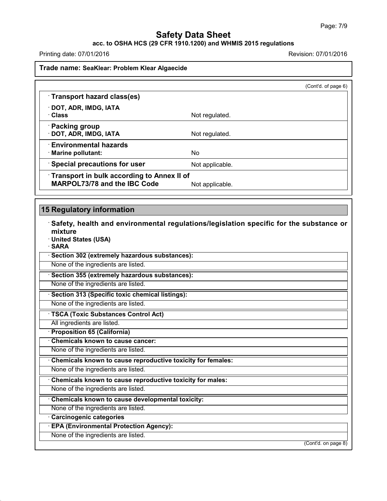#### **acc. to OSHA HCS (29 CFR 1910.1200) and WHMIS 2015 regulations**

Printing date: 07/01/2016 **Revision: 07/01/2016** 

**Trade name: SeaKlear: Problem Klear Algaecide**

|                                                                                   |                 | (Cont'd. of page 6) |
|-----------------------------------------------------------------------------------|-----------------|---------------------|
| Transport hazard class(es)                                                        |                 |                     |
| · DOT, ADR, IMDG, IATA<br>· Class                                                 | Not regulated.  |                     |
| <b>Packing group</b><br>· DOT, ADR, IMDG, IATA                                    | Not regulated.  |                     |
| <b>Environmental hazards</b><br>· Marine pollutant:                               | No              |                     |
| Special precautions for user                                                      | Not applicable. |                     |
| Transport in bulk according to Annex II of<br><b>MARPOL73/78 and the IBC Code</b> | Not applicable. |                     |

# **15 Regulatory information**

43.0

| Safety, health and environmental regulations/legislation specific for the substance or |  |
|----------------------------------------------------------------------------------------|--|
| mixture                                                                                |  |
| · United States (USA)<br>· SARA                                                        |  |
| · Section 302 (extremely hazardous substances):                                        |  |
| None of the ingredients are listed.                                                    |  |
| Section 355 (extremely hazardous substances):                                          |  |
| None of the ingredients are listed.                                                    |  |
| Section 313 (Specific toxic chemical listings):                                        |  |
| None of the ingredients are listed.                                                    |  |
| <b>TSCA (Toxic Substances Control Act)</b>                                             |  |
| All ingredients are listed.                                                            |  |
| · Proposition 65 (California)                                                          |  |
| Chemicals known to cause cancer:                                                       |  |
| None of the ingredients are listed.                                                    |  |
| Chemicals known to cause reproductive toxicity for females:                            |  |
| None of the ingredients are listed.                                                    |  |
| Chemicals known to cause reproductive toxicity for males:                              |  |
| None of the ingredients are listed.                                                    |  |
| Chemicals known to cause developmental toxicity:                                       |  |
| None of the ingredients are listed.                                                    |  |
| <b>Carcinogenic categories</b>                                                         |  |
| <b>EPA (Environmental Protection Agency):</b>                                          |  |
| None of the ingredients are listed.                                                    |  |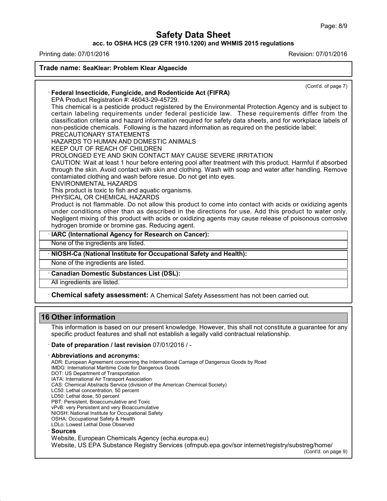**acc. to OSHA HCS (29 CFR 1910.1200) and WHMIS 2015 regulations**

Printing date: 07/01/2016 Revision: 07/01/2016

**Trade name: SeaKlear: Problem Klear Algaecide** (Cont'd. of page 7) · **Federal Insecticide, Fungicide, and Rodenticide Act (FIFRA)** EPA Product Registration #: 46043-29-45729. This chemical is a pesticide product registered by the Environmental Protection Agency and is subject to certain labeling requirements under federal pesticide law. These requirements differ from the classification criteria and hazard information required for safety data sheets, and for workplace labels of non-pesticide chemicals. Following is the hazard information as required on the pesticide label: PRECAUTIONARY STATEMENTS HAZARDS TO HUMAN AND DOMESTIC ANIMALS KEEP OUT OF REACH OF CHILDREN PROLONGED EYE AND SKIN CONTACT MAY CAUSE SEVERE IRRITATION CAUTION: Wait at least 1 hour before entering pool after treatment with this product. Harmful if absorbed through the skin. Avoid contact with skin and clothing. Wash with soap and water after handling. Remove contamiated clothing and wash before resue. Do not get into eyes. ENVIRONMENTAL HAZARDS This product is toxic to fish and aquatic organisms. PHYSICAL OR CHEMICAL HAZARDS Product is not flammable. Do not allow this product to come into contact with acids or oxidizing agents under conditions other than as described in the directions for use. Add this product to water only. Negligent mixing of this product with acids or oxidizing agents may cause release of poisonous corrosive hydrogen bromide or bromine gas. Reducing agent. · **IARC (International Agency for Research on Cancer):** None of the ingredients are listed. · **NIOSH-Ca (National Institute for Occupational Safety and Health):** None of the ingredients are listed. · **Canadian Domestic Substances List (DSL):** All ingredients are listed. · **Chemical safety assessment:** A Chemical Safety Assessment has notbeen carried out. **16 Other information** This information is based on our present knowledge. However, this shall not constitute a guarantee for any specific product features and shall not establish a legally valid contractual relationship. · **Date of preparation / last revision** 07/01/2016 / - · **Abbreviations and acronyms:** ADR: European Agreement concerning the International Carriage of Dangerous Goods by Road IMDG: International Maritime Code for Dangerous Goods DOT: US Department of Transportation IATA: International Air Transport Association CAS: Chemical Abstracts Service (division of the American Chemical Society) LC50: Lethal concentration, 50 percent LD50: Lethal dose, 50 percent PBT: Persistent, Bioaccumulative and Toxic vPvB: very Persistent and very Bioaccumulative NIOSH: National Institute for Occupational Safety OSHA: Occupational Safety & Health LDLo: Lowest Lethal Dose Observed · **Sources**

Website, European Chemicals Agency (echa.europa.eu)

43.0

Website, US EPA Substance Registry Services (ofmpub.epa.gov/sor internet/registry/substreg/home/

(Cont'd. on page 9)